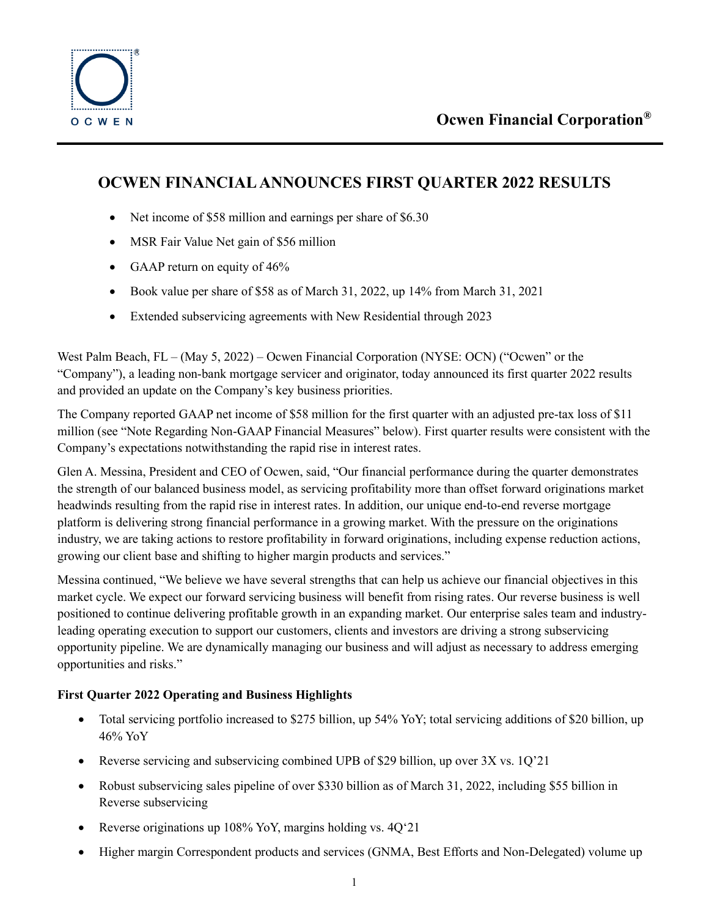

# **OCWEN FINANCIAL ANNOUNCES FIRST QUARTER 2022 RESULTS**

- Net income of \$58 million and earnings per share of \$6.30
- MSR Fair Value Net gain of \$56 million
- GAAP return on equity of 46%
- Book value per share of \$58 as of March 31, 2022, up 14% from March 31, 2021
- Extended subservicing agreements with New Residential through 2023

West Palm Beach, FL – (May 5, 2022) – Ocwen Financial Corporation (NYSE: OCN) ("Ocwen" or the "Company"), a leading non-bank mortgage servicer and originator, today announced its first quarter 2022 results and provided an update on the Company's key business priorities.

The Company reported GAAP net income of \$58 million for the first quarter with an adjusted pre-tax loss of \$11 million (see "Note Regarding Non-GAAP Financial Measures" below). First quarter results were consistent with the Company's expectations notwithstanding the rapid rise in interest rates.

Glen A. Messina, President and CEO of Ocwen, said, "Our financial performance during the quarter demonstrates the strength of our balanced business model, as servicing profitability more than offset forward originations market headwinds resulting from the rapid rise in interest rates. In addition, our unique end-to-end reverse mortgage platform is delivering strong financial performance in a growing market. With the pressure on the originations industry, we are taking actions to restore profitability in forward originations, including expense reduction actions, growing our client base and shifting to higher margin products and services."

Messina continued, "We believe we have several strengths that can help us achieve our financial objectives in this market cycle. We expect our forward servicing business will benefit from rising rates. Our reverse business is well positioned to continue delivering profitable growth in an expanding market. Our enterprise sales team and industryleading operating execution to support our customers, clients and investors are driving a strong subservicing opportunity pipeline. We are dynamically managing our business and will adjust as necessary to address emerging opportunities and risks."

## **First Quarter 2022 Operating and Business Highlights**

- Total servicing portfolio increased to \$275 billion, up 54% YoY; total servicing additions of \$20 billion, up 46% YoY
- Reverse servicing and subservicing combined UPB of \$29 billion, up over 3X vs. 10'21
- Robust subservicing sales pipeline of over \$330 billion as of March 31, 2022, including \$55 billion in Reverse subservicing
- Reverse originations up 108% YoY, margins holding vs. 4Q'21
- Higher margin Correspondent products and services (GNMA, Best Efforts and Non-Delegated) volume up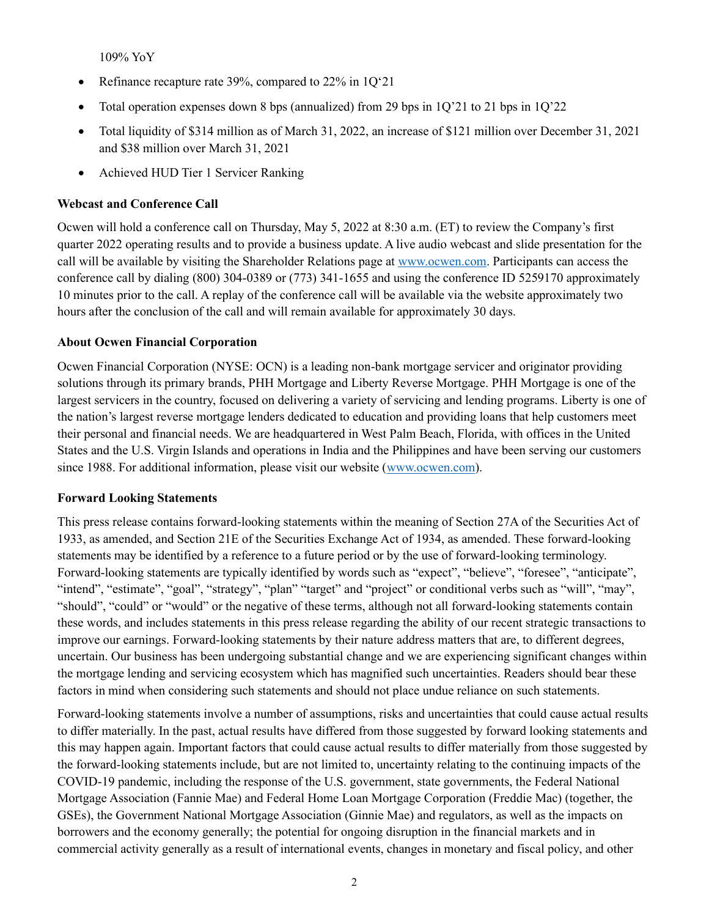109% YoY

- Refinance recapture rate 39%, compared to  $22\%$  in  $1Q'21$
- Total operation expenses down 8 bps (annualized) from 29 bps in  $1Q'21$  to 21 bps in  $1Q'22$
- Total liquidity of \$314 million as of March 31, 2022, an increase of \$121 million over December 31, 2021 and \$38 million over March 31, 2021
- Achieved HUD Tier 1 Servicer Ranking

### **Webcast and Conference Call**

Ocwen will hold a conference call on Thursday, May 5, 2022 at 8:30 a.m. (ET) to review the Company's first quarter 2022 operating results and to provide a business update. A live audio webcast and slide presentation for the call will be available by visiting the Shareholder Relations page a[t www.ocwen.com.](http://www.ocwen.com/) Participants can access the conference call by dialing (800) 304-0389 or (773) 341-1655 and using the conference ID 5259170 approximately 10 minutes prior to the call. A replay of the conference call will be available via the website approximately two hours after the conclusion of the call and will remain available for approximately 30 days.

### **About Ocwen Financial Corporation**

Ocwen Financial Corporation (NYSE: OCN) is a leading non-bank mortgage servicer and originator providing solutions through its primary brands, PHH Mortgage and Liberty Reverse Mortgage. PHH Mortgage is one of the largest servicers in the country, focused on delivering a variety of servicing and lending programs. Liberty is one of the nation's largest reverse mortgage lenders dedicated to education and providing loans that help customers meet their personal and financial needs. We are headquartered in West Palm Beach, Florida, with offices in the United States and the U.S. Virgin Islands and operations in India and the Philippines and have been serving our customers since 1988. For additional information, please visit our website [\(www.ocwen.com\)](http://www.ocwen.com/).

### **Forward Looking Statements**

This press release contains forward-looking statements within the meaning of Section 27A of the Securities Act of 1933, as amended, and Section 21E of the Securities Exchange Act of 1934, as amended. These forward-looking statements may be identified by a reference to a future period or by the use of forward-looking terminology. Forward-looking statements are typically identified by words such as "expect", "believe", "foresee", "anticipate", "intend", "estimate", "goal", "strategy", "plan" "target" and "project" or conditional verbs such as "will", "may", "should", "could" or "would" or the negative of these terms, although not all forward-looking statements contain these words, and includes statements in this press release regarding the ability of our recent strategic transactions to improve our earnings. Forward-looking statements by their nature address matters that are, to different degrees, uncertain. Our business has been undergoing substantial change and we are experiencing significant changes within the mortgage lending and servicing ecosystem which has magnified such uncertainties. Readers should bear these factors in mind when considering such statements and should not place undue reliance on such statements.

Forward-looking statements involve a number of assumptions, risks and uncertainties that could cause actual results to differ materially. In the past, actual results have differed from those suggested by forward looking statements and this may happen again. Important factors that could cause actual results to differ materially from those suggested by the forward-looking statements include, but are not limited to, uncertainty relating to the continuing impacts of the COVID-19 pandemic, including the response of the U.S. government, state governments, the Federal National Mortgage Association (Fannie Mae) and Federal Home Loan Mortgage Corporation (Freddie Mac) (together, the GSEs), the Government National Mortgage Association (Ginnie Mae) and regulators, as well as the impacts on borrowers and the economy generally; the potential for ongoing disruption in the financial markets and in commercial activity generally as a result of international events, changes in monetary and fiscal policy, and other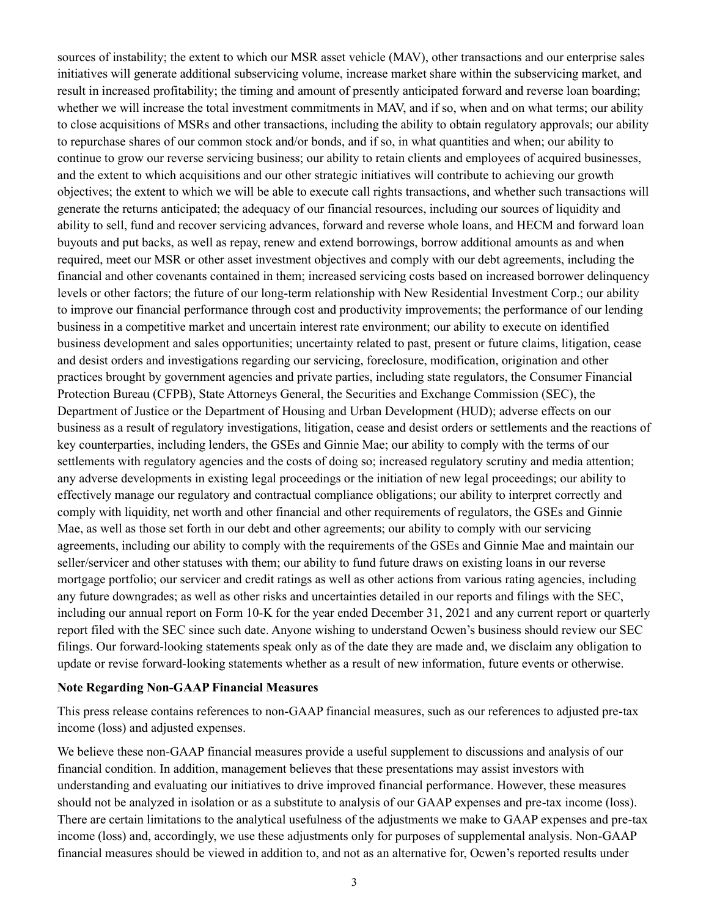sources of instability; the extent to which our MSR asset vehicle (MAV), other transactions and our enterprise sales initiatives will generate additional subservicing volume, increase market share within the subservicing market, and result in increased profitability; the timing and amount of presently anticipated forward and reverse loan boarding; whether we will increase the total investment commitments in MAV, and if so, when and on what terms; our ability to close acquisitions of MSRs and other transactions, including the ability to obtain regulatory approvals; our ability to repurchase shares of our common stock and/or bonds, and if so, in what quantities and when; our ability to continue to grow our reverse servicing business; our ability to retain clients and employees of acquired businesses, and the extent to which acquisitions and our other strategic initiatives will contribute to achieving our growth objectives; the extent to which we will be able to execute call rights transactions, and whether such transactions will generate the returns anticipated; the adequacy of our financial resources, including our sources of liquidity and ability to sell, fund and recover servicing advances, forward and reverse whole loans, and HECM and forward loan buyouts and put backs, as well as repay, renew and extend borrowings, borrow additional amounts as and when required, meet our MSR or other asset investment objectives and comply with our debt agreements, including the financial and other covenants contained in them; increased servicing costs based on increased borrower delinquency levels or other factors; the future of our long-term relationship with New Residential Investment Corp.; our ability to improve our financial performance through cost and productivity improvements; the performance of our lending business in a competitive market and uncertain interest rate environment; our ability to execute on identified business development and sales opportunities; uncertainty related to past, present or future claims, litigation, cease and desist orders and investigations regarding our servicing, foreclosure, modification, origination and other practices brought by government agencies and private parties, including state regulators, the Consumer Financial Protection Bureau (CFPB), State Attorneys General, the Securities and Exchange Commission (SEC), the Department of Justice or the Department of Housing and Urban Development (HUD); adverse effects on our business as a result of regulatory investigations, litigation, cease and desist orders or settlements and the reactions of key counterparties, including lenders, the GSEs and Ginnie Mae; our ability to comply with the terms of our settlements with regulatory agencies and the costs of doing so; increased regulatory scrutiny and media attention; any adverse developments in existing legal proceedings or the initiation of new legal proceedings; our ability to effectively manage our regulatory and contractual compliance obligations; our ability to interpret correctly and comply with liquidity, net worth and other financial and other requirements of regulators, the GSEs and Ginnie Mae, as well as those set forth in our debt and other agreements; our ability to comply with our servicing agreements, including our ability to comply with the requirements of the GSEs and Ginnie Mae and maintain our seller/servicer and other statuses with them; our ability to fund future draws on existing loans in our reverse mortgage portfolio; our servicer and credit ratings as well as other actions from various rating agencies, including any future downgrades; as well as other risks and uncertainties detailed in our reports and filings with the SEC, including our annual report on Form 10-K for the year ended December 31, 2021 and any current report or quarterly report filed with the SEC since such date. Anyone wishing to understand Ocwen's business should review our SEC filings. Our forward-looking statements speak only as of the date they are made and, we disclaim any obligation to update or revise forward-looking statements whether as a result of new information, future events or otherwise.

### **Note Regarding Non-GAAP Financial Measures**

This press release contains references to non-GAAP financial measures, such as our references to adjusted pre-tax income (loss) and adjusted expenses.

We believe these non-GAAP financial measures provide a useful supplement to discussions and analysis of our financial condition. In addition, management believes that these presentations may assist investors with understanding and evaluating our initiatives to drive improved financial performance. However, these measures should not be analyzed in isolation or as a substitute to analysis of our GAAP expenses and pre-tax income (loss). There are certain limitations to the analytical usefulness of the adjustments we make to GAAP expenses and pre-tax income (loss) and, accordingly, we use these adjustments only for purposes of supplemental analysis. Non-GAAP financial measures should be viewed in addition to, and not as an alternative for, Ocwen's reported results under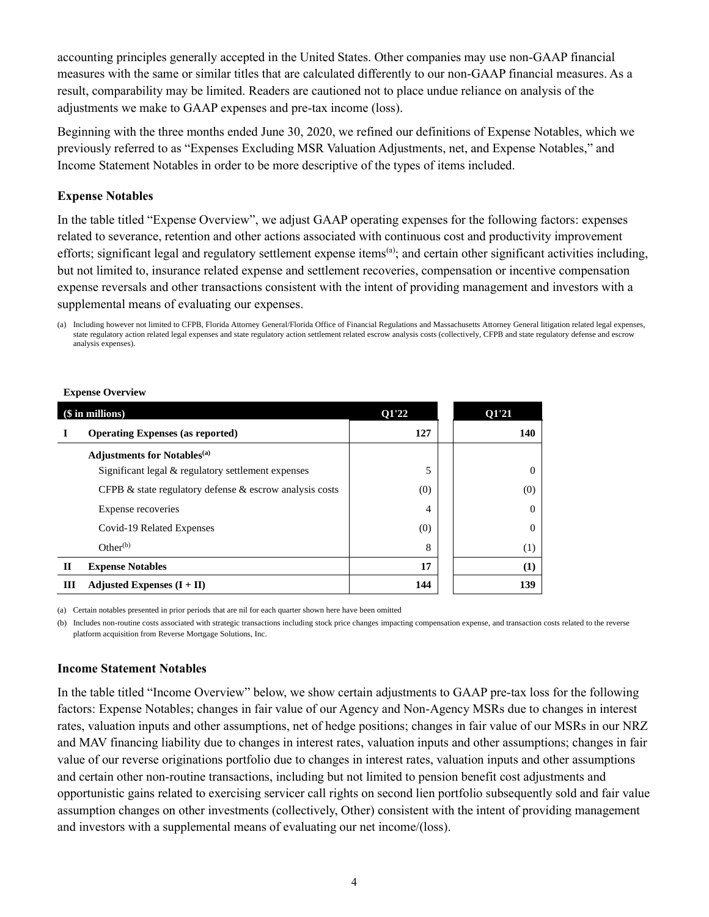accounting principles generally accepted in the United States. Other companies may use non-GAAP financial measures with the same or similar titles that are calculated differently to our non-GAAP financial measures. As a result, comparability may be limited. Readers are cautioned not to place undue reliance on analysis of the adjustments we make to GAAP expenses and pre-tax income (loss).

Beginning with the three months ended June 30, 2020, we refined our definitions of Expense Notables, which we previously referred to as "Expenses Excluding MSR Valuation Adjustments, net, and Expense Notables," and Income Statement Notables in order to be more descriptive of the types of items included.

#### **Expense Notables**

In the table titled "Expense Overview", we adjust GAAP operating expenses for the following factors: expenses related to severance, retention and other actions associated with continuous cost and productivity improvement efforts; significant legal and regulatory settlement expense items<sup>(a)</sup>; and certain other significant activities including, but not limited to, insurance related expense and settlement recoveries, compensation or incentive compensation expense reversals and other transactions consistent with the intent of providing management and investors with a supplemental means of evaluating our expenses.

#### **Expense Overview**

| (\$ in millions) |                                                               | 01'22 | 01'21    |
|------------------|---------------------------------------------------------------|-------|----------|
|                  | <b>Operating Expenses (as reported)</b>                       | 127   | 140      |
|                  | <b>Adjustments for Notables</b> <sup>(a)</sup>                |       |          |
|                  | Significant legal & regulatory settlement expenses            | 5     | $\Omega$ |
|                  | CFPB $\&$ state regulatory defense $\&$ escrow analysis costs | (0)   | (0)      |
|                  | Expense recoveries                                            | 4     | $\Omega$ |
|                  | Covid-19 Related Expenses                                     | (0)   | $\Omega$ |
|                  | Other <sup>(b)</sup>                                          | 8     | (1)      |
| $\mathbf{I}$     | <b>Expense Notables</b>                                       | 17    | $\bf(1)$ |
| Ш                | Adjusted Expenses $(I + II)$                                  | 144   | 139      |

(a) Certain notables presented in prior periods that are nil for each quarter shown here have been omitted

(b) Includes non-routine costs associated with strategic transactions including stock price changes impacting compensation expense, and transaction costs related to the reverse platform acquisition from Reverse Mortgage Solutions, Inc.

#### **Income Statement Notables**

In the table titled "Income Overview" below, we show certain adjustments to GAAP pre-tax loss for the following factors: Expense Notables; changes in fair value of our Agency and Non-Agency MSRs due to changes in interest rates, valuation inputs and other assumptions, net of hedge positions; changes in fair value of our MSRs in our NRZ and MAV financing liability due to changes in interest rates, valuation inputs and other assumptions; changes in fair value of our reverse originations portfolio due to changes in interest rates, valuation inputs and other assumptions and certain other non-routine transactions, including but not limited to pension benefit cost adjustments and opportunistic gains related to exercising servicer call rights on second lien portfolio subsequently sold and fair value assumption changes on other investments (collectively, Other) consistent with the intent of providing management and investors with a supplemental means of evaluating our net income/(loss).

<sup>(</sup>a) Including however not limited to CFPB, Florida Attorney General/Florida Office of Financial Regulations and Massachusetts Attorney General litigation related legal expenses, state regulatory action related legal expenses and state regulatory action settlement related escrow analysis costs (collectively, CFPB and state regulatory defense and escrow analysis expenses).